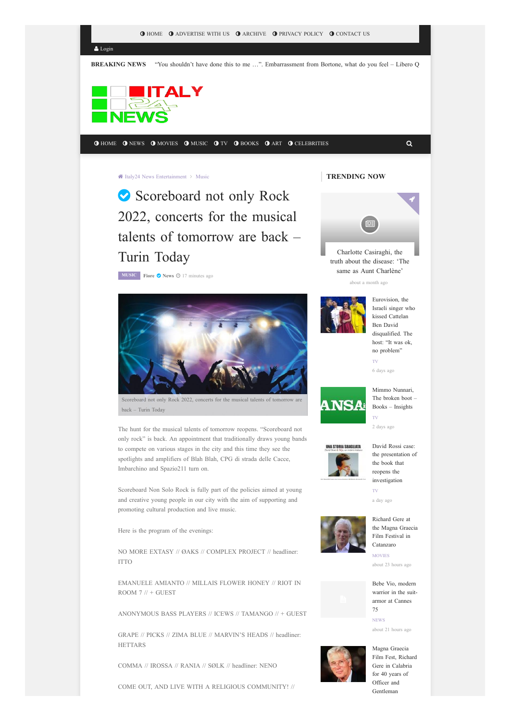

 $\triangle$  Italy24 News [Entertainment](https://news.italy-24.com/entertainment) > [Music](https://news.italy-24.com/entertainment/music)

Scoreboard not only Rock 2022, concerts for the musical talents of tomorrow are back – Turin Today

**[MUSIC](https://news.italy-24.com/entertainment/music) [Fiore](https://news.italy-24.com/entertainment/search/%D9%83%D8%A7%D8%AA%D8%A8:Fiore)**  $\odot$  **[News](https://news.italy-24.com/entertainment/sources/1/News.html)**  $\odot$  17 minutes ago



[Scoreboard](https://news.italy-24.com/entertainment/content/uploads/2022/05/19/ee982b1645.jpg) not only Rock 2022, concerts for the musical talents of tomorrow are back – Turin Today

The hunt for the musical talents of tomorrow reopens. "Scoreboard not only rock" is back. An appointment that traditionally draws young bands to compete on various stages in the city and this time they see the spotlights and amplifiers of Blah Blah, CPG di strada delle Cacce, Imbarchino and Spazio211 turn on.

Scoreboard Non Solo Rock is fully part of the policies aimed at young and creative young people in our city with the aim of supporting and promoting cultural production and live music.

Here is the program of the evenings:

NO MORE EXTASY // ØAKS // COMPLEX PROJECT // headliner: ITTO

EMANUELE AMIANTO // MILLAIS FLOWER HONEY // RIOT IN  $ROM 7 // + GUEST$ 

ANONYMOUS BASS PLAYERS // ICEWS // TAMANGO // + GUEST

GRAPE // PICKS // ZIMA BLUE // MARVIN'S HEADS // headliner: **HETTARS** 

COMMA // IROSSA // RANIA // SØLK // headliner: NENO

COME OUT, AND LIVE WITH A RELIGIOUS COMMUNITY! //





Charlotte [Casiraghi,](https://news.italy-24.com/entertainment/celebrities/158391.html) the truth about the disease: 'The same as Aunt Charlène'

about a month ago



Eurovision, the Israeli singer who kissed Cattelan Ben David [disqualified.](https://news.italy-24.com/entertainment/tv/168137.html) The host: "It was ok, no problem"



Mimmo [Nunnari,](https://news.italy-24.com/entertainment/tv/169485.html) The broken boot – Books – Insights

[TV](https://news.italy-24.com/entertainment/tv) 2 days ago



UNA STORIA SBAGLIATA

David Rossi case: the presentation of the book that reopens the [investigation](https://news.italy-24.com/entertainment/tv/169748.html)

[TV](https://news.italy-24.com/entertainment/tv) a day ago



Richard Gere at the Magna Graecia Film Festival in [Catanzaro](https://news.italy-24.com/entertainment/movies/169942.html)

about 23 hours ago

[MOVIES](https://news.italy-24.com/entertainment/movies)

Bebe Vio, modern [warrior](https://news.italy-24.com/entertainment/news/169996.html) in the suitarmor at Cannes 75

[NEWS](https://news.italy-24.com/entertainment/news) about 21 hours ago



Magna Graecia Film Fest, Richard Gere in Calabria for 40 years of Officer and [Gentleman](https://news.italy-24.com/entertainment/movies/170105.html)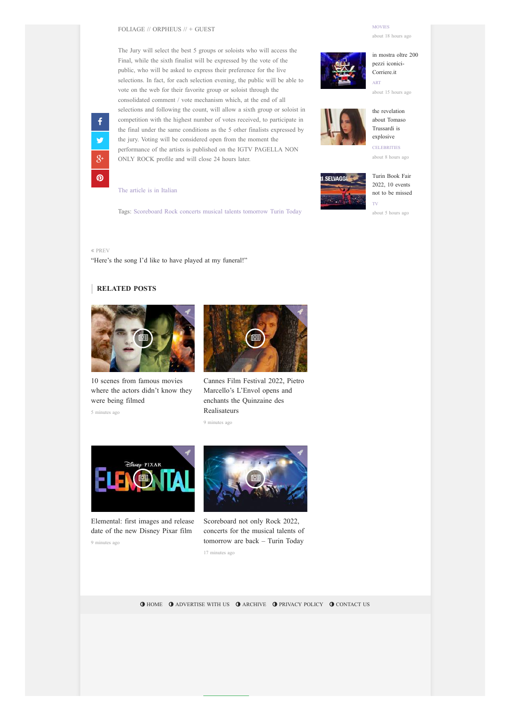## FOLIAGE // ORPHEUS // + GUEST

The Jury will select the best 5 groups or soloists who will access the Final, while the sixth finalist will be expressed by the vote of the public, who will be asked to express their preference for the live selections. In fact, for each selection evening, the public will be able to vote on the web for their favorite group or soloist through the consolidated comment / vote mechanism which, at the end of all selections and following the count, will allow a sixth group or soloist in competition with the highest number of votes received, to participate in the final under the same conditions as the 5 other finalists expressed by the jury. Voting will be considered open from the moment the performance of the artists is published on the IGTV PAGELLA NON ONLY ROCK profile and will close 24 hours later.

The article is in [Italian](https://www.torinoggi.it/2022/05/19/leggi-notizia/argomenti/cultura-4/articolo/pagella-non-solo-rock-2022-tornano-i-concerti-per-i-talenti-musicali-di-domani.html)

Tags: [Scoreboard](https://news.italy-24.com/entertainment/tag/Scoreboard) [Rock](https://news.italy-24.com/entertainment/tag/Rock) [concerts](https://news.italy-24.com/entertainment/tag/concerts) [musical](https://news.italy-24.com/entertainment/tag/musical) [talents](https://news.italy-24.com/entertainment/tag/talents) [tomorrow](https://news.italy-24.com/entertainment/tag/tomorrow) [Turin](https://news.italy-24.com/entertainment/tag/Turin) [Today](https://news.italy-24.com/entertainment/tag/Today)



about 18 hours ago





**[CELEBRITIES](https://news.italy-24.com/entertainment/celebrities)** explosive

about 8 hours ago



[TV](https://news.italy-24.com/entertainment/tv) Turin Book Fair 2022, 10 events not to be [missed](https://news.italy-24.com/entertainment/tv/170274.html)

about 5 hours ago

## PREV

f.

v

 $g_{\dagger}$ 

൫

"Here's the song I'd like to have played at my [funeral!"](https://news.italy-24.com/entertainment/music/170352.html)

## **RELATED POSTS**





5 minutes ago



9 minutes ago Cannes Film Festival 2022, Pietro Marcello's L'Envol opens and enchants the Quinzaine des [Realisateurs](https://news.italy-24.com/entertainment/movies/170385.html)



9 minutes ago [Elemental:](https://news.italy-24.com/entertainment/movies/170386.html) first images and release date of the new Disney Pixar film

9 | A | 大 | 【 | 9】 

17 minutes ago [Scoreboard](https://news.italy-24.com/entertainment/music/170384.html) not only Rock 2022, concerts for the musical talents of tomorrow are back – Turin Today

**O** [HOME](https://news.italy-24.com/) **O** [ADVERTISE](https://news.italy-24.com/entertainment/advertise.html) WITH US **O** [ARCHIVE](https://news.italy-24.com/entertainment/archive.html) **O** [PRIVACY](https://news.italy-24.com/page/Privacy-Policy.html) POLICY **O** [CONTACT](https://news.italy-24.com/contact-us.html) US